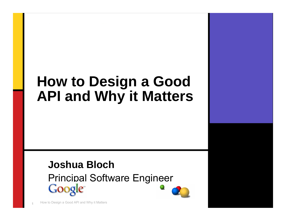### **How to Design a Good API and Why it Matters**

#### **Joshua Bloch**Principal Software Engineer**Google**

How to Design a Good API and Why it Matters <sup>1</sup>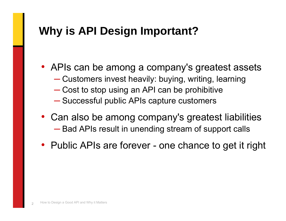#### **Why is API Design Important?**

- APIs can be among a company's greatest assets
	- ■ ■ ■ ■ Customers invest heavily: buying, writing, learning
	- Cost to stop using an API can be prohibitive
	- ─— Successful public APIs capture customers
- Can also be among company's greatest liabilities ─ $-$  Bad APIs result in unending stream of support calls
- Public APIs are forever one chance to get it right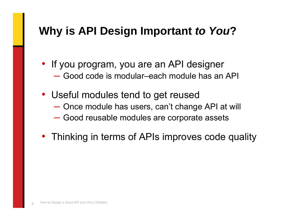#### **Why is API Design Important** *to You***?**

- If you program, you are an API designer ─ Good code is modular–each module has an API
- Useful modules tend to get reused
	- ─────── — Once module has users, can't change API at will
	- —<br>अन्तर्भवस्थानम्<br>अन्तर्भवस्थानस् Good reusable modules are corporate assets
- Thinking in terms of APIs improves code quality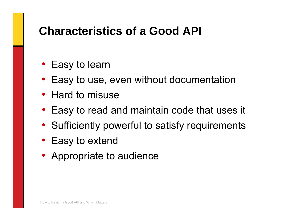#### **Characteristics of a Good API**

- Easy to learn
- Easy to use, even without documentation
- Hard to misuse
- Easy to read and maintain code that uses it
- Sufficiently powerful to satisfy requirements
- Easy to extend
- Appropriate to audience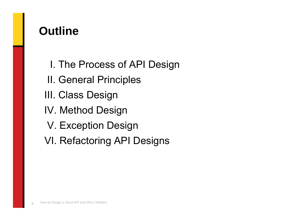#### **Outline**

- I. The Process of API Design
- II. General Principles
- III. Class Design
- IV. Method Design
- V. Exception Design
- VI. Refactoring API Designs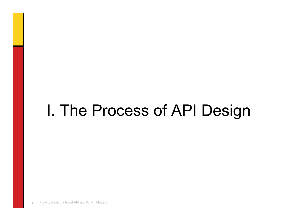## I. The Process of API Design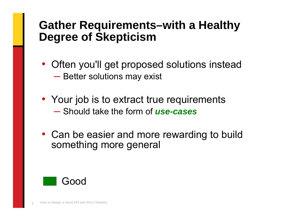#### **Gather Requirements–with a Healthy Degree of Skepticism**

- Often you'll get proposed solutions instead ───────  $-$  Better solutions may exist
- Your job is to extract true requirements ─ Should take the form of *use-cases*
- Can be easier and more rewarding to build something more general

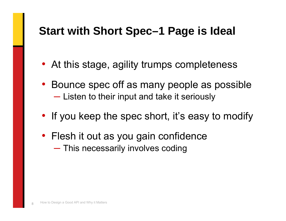#### **Start with Short Spec–1 Page is Ideal**

- At this stage, agility trumps completeness
- Bounce spec off as many people as possible ───────  $-$  Listen to their input and take it seriously
- If you keep the spec short, it's easy to modify
- Flesh it out as you gain confidence ───────  $-$  This necessarily involves coding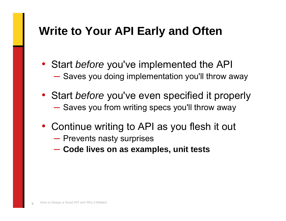### **Write to Your API Early and Often**

- Start *before* you've implemented the API ───────  $-$  Saves you doing implementation you'll throw away
- Start *before* you've even specified it properly —<br>अन्तर्भवस्थानम्<br>अन्तर्भवस्थानस्  $-$  Saves you from writing specs you'll throw away
- Continue writing to API as you flesh it out
	- ──────  $-$  Prevents nasty surprises
	- —<br>अन्तर्भवस्थानम्<br>अन्तर्भवस्थानस् **Code lives on as examples, unit tests**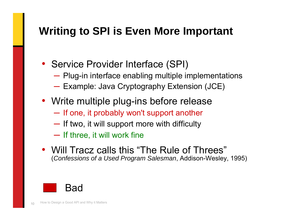#### **Writing to SPI is Even More Important**

- Service Provider Interface (SPI)
	- ───────  $-$  Plug-in interface enabling multiple implementations
	- $\mathcal{L}^{\text{max}}_{\text{max}}$ — Example: Java Cryptography Extension (JCE)
- Write multiple plug-ins before release
	- ───────  $\blacksquare$  If one, it probably won't support another
	- —<br>अन्तर्भवस्थानम्<br>अन्तर्भवस्थानस्  $-$  If two, it will support more with difficulty
	- ──────  $-$  If three, it will work fine
- Will Tracz calls this "The Rule of Threes" (*Confessions of a Used Program Salesman*, Addison-Wesley, 1995)

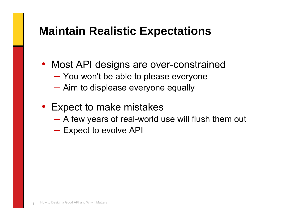#### **Maintain Realistic Expectations**

- Most API designs are over-constrained
	- ─────── You won't be able to please everyone
	- ─────── Aim to displease everyone equally
- Expect to make mistakes
	- ─────── A few years of real-world use will flush them out
	- ─────── — Expect to evolve API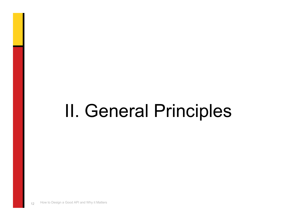## II. General Principles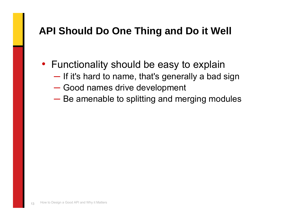#### **API Should Do One Thing and Do it Well**

- Functionality should be easy to explain
	- ───────  $\blacksquare$  If it's hard to name, that's generally a bad sign
	- ─────── Good names drive development
	- ───────  $-$  Be amenable to splitting and merging modules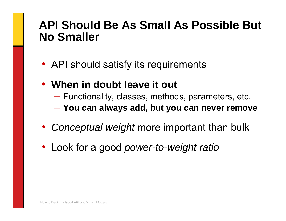#### **API Should Be As Small As Possible But No Smaller**

- API should satisfy its requirements
- **When in doubt leave it out**
	- ───────  $-$  Functionality, classes, methods, parameters, etc.  $\,$
	- ─────── **You can always add, but you can never remove**
- *Conceptual weight* more important than bulk
- Look for a good *power-to-weight ratio*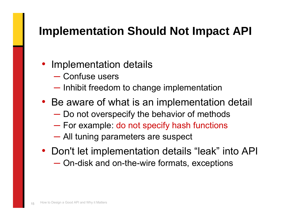#### **Implementation Should Not Impact API**

- Implementation details
	- ─ Confuse users
	- ───────  $-$  Inhibit freedom to change implementation
- Be aware of what is an implementation detail
	- $\mathcal{L}^{\text{max}}_{\text{max}}$  $-$  Do not overspecify the behavior of methods
	- $\mathcal{L}^{\text{max}}_{\text{max}}$  $-$  For example: do not specify hash functions
	- $\mathcal{L}^{\text{max}}_{\text{max}}$ All tuning parameters are suspect
- Don't let implementation details "leak" into API —<br>अन्तर्भवस्थानम् । On-disk and on-the-wire formats, exceptions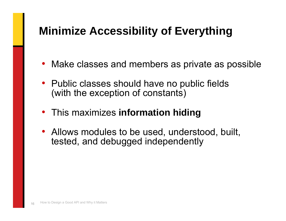#### **Minimize Accessibility of Everything**

- Make classes and members as private as possible
- Public classes should have no public fields (with the exception of constants)
- This maximizes **information hiding**
- Allows modules to be used, understood, built, tested, and debugged independently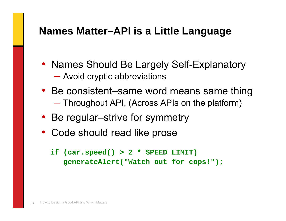#### **Names Matter–API is a Little Language**

- Names Should Be Largely Self-Explanatory ─────── Avoid cryptic abbreviations
- Be consistent–same word means same thing  $\mathcal{L}^{\text{max}}_{\text{max}}$ Throughout API, (Across APIs on the platform)
- Be regular–strive for symmetry
- Code should read like prose

```
if (car.speed() > 2 * SPEED_LIMIT)
  generateAlert("Watch out for cops!");
```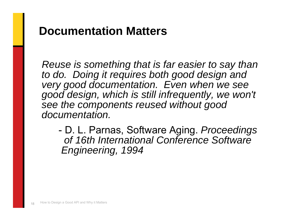#### **Documentation Matters**

*Reuse is something that is far easier to say than to do. Doing it requires both good design and very good documentation. Even when we see good design, which is still infrequently, we won't see the components reused without good documentation.*

- D. L. Parnas, Software Aging. *Proceedings of 16th International Conference SoftwareEngineering, 1994*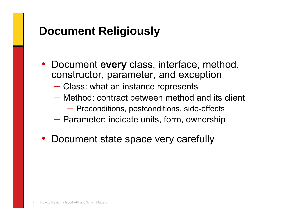#### **Document Religiously**

- Document **every** class, interface, method, constructor, parameter, and exception
	- ─────── Class: what an instance represents
	- ─ Method: contract between method and its client
		- ───────  $\hspace{0.1mm}-$  Preconditions, postconditions, side-effects
	- ─────── Parameter: indicate units, form, ownership
- Document state space very carefully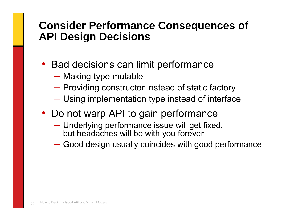#### **Consider Performance Consequences of API Design Decisions**

- Bad decisions can limit performance
	- ─────── — Making type mutable
	- ─────── Providing constructor instead of static factory
	- ─────── Using implementation type instead of interface
- Do not warp API to gain performance
	- ────── Underlying performance issue will get fixed, but headaches will be with you forever
	- —<br>अन्तर्भवस्थानम्<br>अन्तर्भवस्थानस् Good design usually coincides with good performance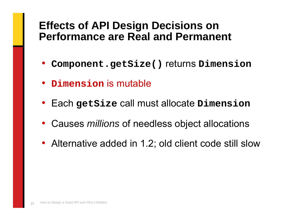#### **Effects of API Design Decisions on Performance are Real and Permanent**

- **Component.getSize()** returns **Dimension**
- **Dimension** is mutable
- Each **getSize** call must allocate **Dimension**
- Causes *millions* of needless object allocations
- Alternative added in 1.2; old client code still slow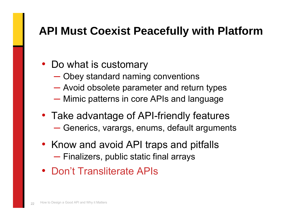#### **API Must Coexist Peacefully with Platform**

- Do what is customary
	- ─────── Obey standard naming conventions
	- ─────── Avoid obsolete parameter and return types
	- ─────── Mimic patterns in core APIs and language
- Take advantage of API-friendly features —<br>अन्तर्भवस्थानम् । — Generics, varargs, enums, default arguments
- Know and avoid API traps and pitfalls ───────  $-$  Finalizers, public static final arrays
- Don't Transliterate APIs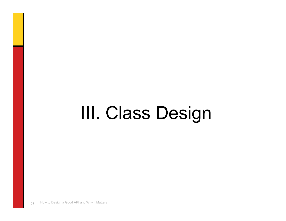# III. Class Design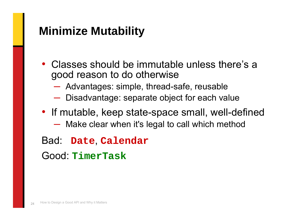#### **Minimize Mutability**

- Classes should be immutable unless there's a good reason to do otherwise
	- ─────── Advantages: simple, thread-safe, reusable
	- —<br>अन्तर्भवस्थानम् । Disadvantage: separate object for each value
- If mutable, keep state-space small, well-defined
	- ─────── Make clear when it's legal to call which method
- Bad: **Date**, **Calendar** Good: **TimerTask**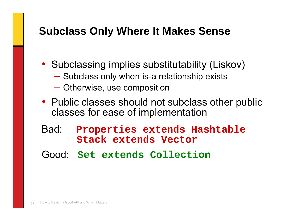#### **Subclass Only Where It Makes Sense**

- Subclassing implies substitutability (Liskov)
	- ───────  $-$  Subclass only when is-a relationship exists
	- ─────── Otherwise, use composition
- Public classes should not subclass other public classes for ease of implementation
- Bad: **Properties extends Hashtable Stack extends Vector**
- Good: **Set extends Collection**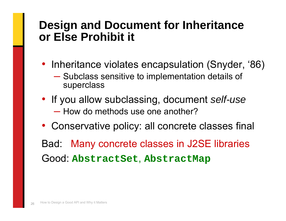#### **Design and Document for Inheritance or Else Prohibit it**

- Inheritance violates encapsulation (Snyder, '86)
	- ─────── Subclass sensitive to implementation details of superclass
- If you allow subclassing, document *self-use* ─ How do methods use one another?
- Conservative policy: all concrete classes final

Bad: Many concrete classes in J2SE libraries Good: **AbstractSet**, **AbstractMap**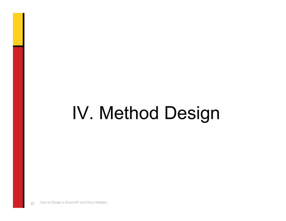# IV. Method Design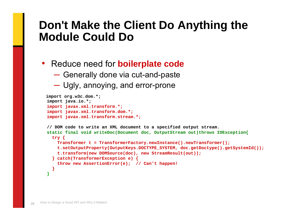#### **Don't Make the Client Do Anything the Module Could Do**

- Reduce need for **boilerplate code**
	- ───────  $\blacksquare$  Generally done via cut-and-paste
	- $\mathcal{L}^{\text{max}}_{\text{max}}$ Ugly, annoying, and error-prone

```
import org.w3c.dom.*;
import java.io.*;
import javax.xml.transform.*;
import javax.xml.transform.dom.*;
import javax.xml.transform.stream.*;
// DOM code to write an XML document to a specified output stream.
static final void writeDoc(Document doc, OutputStream out)throws IOException{
  try {
    Transformer t = TransformerFactory.newInstance().newTransformer();
    t.setOutputProperty(OutputKeys.DOCTYPE_SYSTEM, doc.getDoctype().getSystemId());
    t.transform(new DOMSource(doc), new StreamResult(out));
  } catch(TransformerException e) {
    throw new AssertionError(e); // Can't happen!
  }
}
```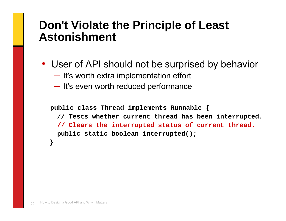#### **Don't Violate the Principle of Least Astonishment**

• User of API should not be surprised by behavior

- ──────  $\blacksquare$  It's worth extra implementation effort
- $\mathcal{L}^{\text{max}}_{\text{max}}$  $-$  It's even worth reduced performance

```
public class Thread implements Runnable {
 // Tests whether current thread has been interrupted.
 // Clears the interrupted status of current thread.
 public static boolean interrupted();
}
```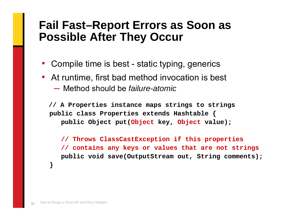#### **Fail Fast–Report Errors as Soon as Possible After They Occur**

- Compile time is best static typing, generics
- At runtime, first bad method invocation is best ─ Method should be *failure-atomic*

**// A Properties instance maps strings to strings public class Properties extends Hashtable { public Object put(Object key, Object value);**

**// Throws ClassCastException if this properties // contains any keys or values that are not strings public void save(OutputStream out, String comments);**

**}**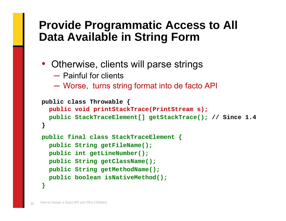#### **Provide Programmatic Access to All Data Available in String Form**

- Otherwise, clients will parse strings
	- ─ Painful for clients
	- ────── Worse, turns string format into de facto API

```
public class Throwable {
  public void printStackTrace(PrintStream s);
  public StackTraceElement[] getStackTrace(); // Since 1.4
}
public final class StackTraceElement {
  public String getFileName();
  public int getLineNumber();
  public String getClassName();
  public String getMethodName();
  public boolean isNativeMethod();
```
**}**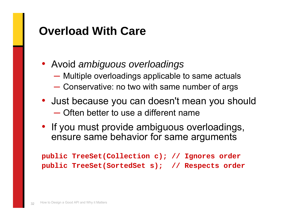#### **Overload With Care**

- Avoid *ambiguous overloadings*
	- —<br>अन्तर्भवस्थानम्<br>अन्तर्भवस्थानस् Multiple overloadings applicable to same actuals
	- ────── Conservative: no two with same number of args
- Just because you can doesn't mean you should ─ Often better to use a different name
- If you must provide ambiguous overloadings, ensure same behavior for same arguments

**public TreeSet(Collection c); // Ignores order public TreeSet(SortedSet s); // Respects order**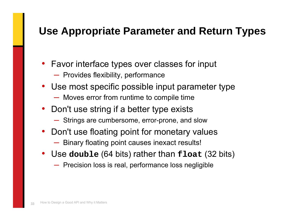#### **Use Appropriate Parameter and Return Types**

- Favor interface types over classes for input
	- ─ Provides flexibility, performance
- Use most specific possible input parameter type
	- ─ Moves error from runtime to compile time
- Don't use string if a better type exists
	- ─ Strings are cumbersome, error-prone, and slow
- Don't use floating point for monetary values
	- ─ Binary floating point causes inexact results!
- Use **double** (64 bits) rather than **float** (32 bits)
	- ─ Precision loss is real, performance loss negligible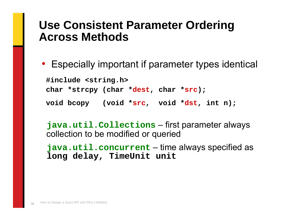#### **Use Consistent Parameter Ordering Across Methods**

• Especially important if parameter types identical

**#include <string.h> char \*strcpy (char \*dest, char \*src); void bcopy (void \*src, void \*dst, int n);**

**java.util.Collections** – first parameter always collection to be modified or queried

**java.util.concurrent** – time always specified as **long delay, TimeUnit unit**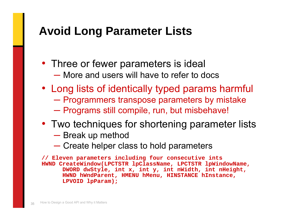#### **Avoid Long Parameter Lists**

- Three or fewer parameters is ideal
	- ─ More and users will have to refer to docs
- Long lists of identically typed params harmful
	- —<br>अन्तर्भवस्थानम् । — Programmers transpose parameters by mistake
	- ─────── — Programs still compile, run, but misbehave!
- Two techniques for shortening parameter lists
	- ─────── — Break up method
	- $\mathcal{L}^{\text{max}}_{\text{max}}$ Create helper class to hold parameters

**// Eleven parameters including four consecutive ints HWND CreateWindow(LPCTSTR lpClassName, LPCTSTR lpWindowName, DWORD dwStyle, int x, int y, int nWidth, int nHeight, HWND hWndParent, HMENU hMenu, HINSTANCE hInstance, LPVOID lpParam);**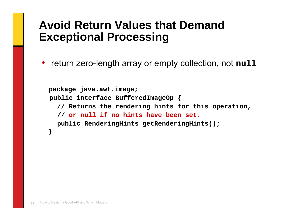#### **Avoid Return Values that Demand Exceptional Processing**

• return zero-length array or empty collection, not **null**

```
package java.awt.image;
public interface BufferedImageOp {
  // Returns the rendering hints for this operation,
  // or null if no hints have been set.
  public RenderingHints getRenderingHints();
}
```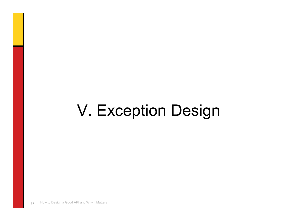## V. Exception Design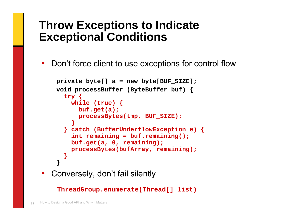#### **Throw Exceptions to Indicate Exceptional Conditions**

• Don't force client to use exceptions for control flow

```
private byte[] a = new byte[BUF_SIZE];
void processBuffer (ByteBuffer buf) {
  try {
    while (true) {
      buf.get(a);
      processBytes(tmp, BUF_SIZE);
    }
  } catch (BufferUnderflowException e) {
    int remaining = buf.remaining();
    buf.get(a, 0, remaining);
    processBytes(bufArray, remaining);
  }
}
```
•Conversely, don't fail silently

**ThreadGroup.enumerate(Thread[] list)**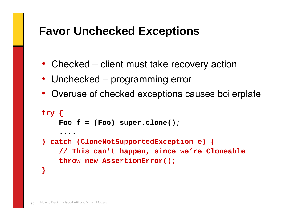#### **Favor Unchecked Exceptions**

- Checked client must take recovery action
- Unchecked programming error
- Overuse of checked exceptions causes boilerplate

```
try {
    Foo f = (Foo) super.clone();
    ....} catch (CloneNotSupportedException e) { 
    // This can't happen, since we're Cloneable
    throw new AssertionError();
}
```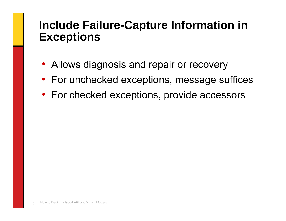#### **Include Failure-Capture Information in Exceptions**

- Allows diagnosis and repair or recovery
- For unchecked exceptions, message suffices
- For checked exceptions, provide accessors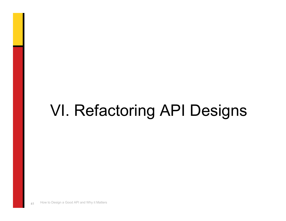## VI. Refactoring API Designs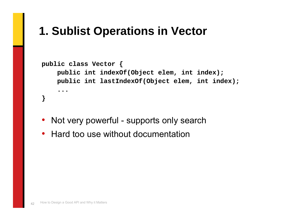#### **1. Sublist Operations in Vector**

```
public class Vector {
    public int indexOf(Object elem, int index);
    public int lastIndexOf(Object elem, int index);
    ...}
```
- $\bullet$ Not very powerful - supports only search
- Hard too use without documentation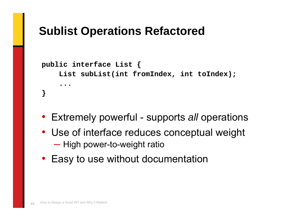### **Sublist Operations Refactored**

```
public interface List {
    List subList(int fromIndex, int toIndex);
    ...}
```
- Extremely powerful supports *all* operations
- Use of interface reduces conceptual weight  $\mathcal{L}^{\text{max}}_{\text{max}}$ — High power-to-weight ratio
- Easy to use without documentation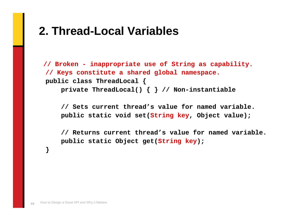#### **2. Thread-Local Variables**

**// Broken - inappropriate use of String as capability. // Keys constitute a shared global namespace. public class ThreadLocal { private ThreadLocal() { } // Non-instantiable**

**// Sets current thread's value for named variable. public static void set(String key, Object value);**

**// Returns current thread's value for named variable. public static Object get(String key);**

**}**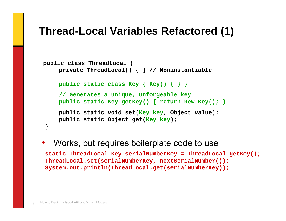#### **Thread-Local Variables Refactored (1)**

```
public class ThreadLocal {
    private ThreadLocal() { } // Noninstantiable
    public static class Key { Key() { } }
    // Generates a unique, unforgeable key
    public static Key getKey() { return new Key(); }
    public static void set(Key key, Object value);
    public static Object get(Key key);
}
```
#### • Works, but requires boilerplate code to use **static ThreadLocal.Key serialNumberKey = ThreadLocal.getKey(); ThreadLocal.set(serialNumberKey, nextSerialNumber()); System.out.println(ThreadLocal.get(serialNumberKey));**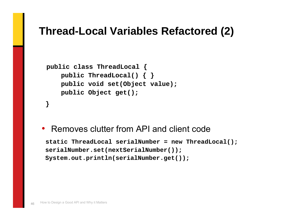#### **Thread-Local Variables Refactored (2)**

```
public class ThreadLocal {
   public ThreadLocal() { }
   public void set(Object value);
   public Object get();
}
```
•Removes clutter from API and client code

```
static ThreadLocal serialNumber = new ThreadLocal();
serialNumber.set(nextSerialNumber());
System.out.println(serialNumber.get());
```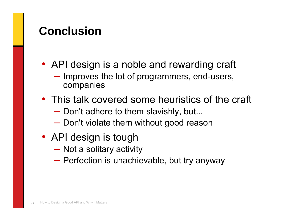#### **Conclusion**

- API design is a noble and rewarding craft
	- ─────── - Improves the lot of programmers, end-users, companies
- This talk covered some heuristics of the craft
	- —<br>अन्तर्भवस्थानम् ।  $-$  Don't adhere to them slavishly, but...
	- —<br>अन्तर्भवस्थानम् ।  $-$  Don't violate them without good reason
- API design is tough
	- ─────── — Not a solitary activity
	- ─────── — Perfection is unachievable, but try anyway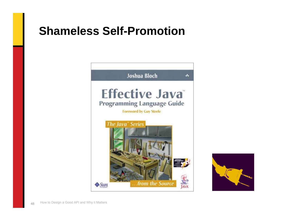#### **Shameless Self-Promotion**